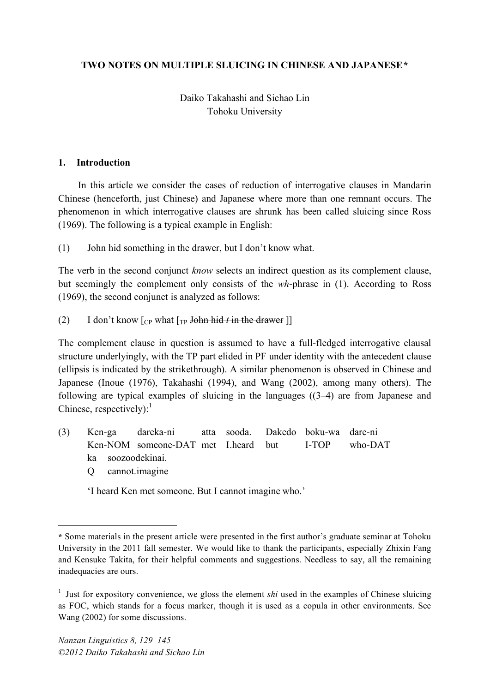## **TWO NOTES ON MULTIPLE SLUICING IN CHINESE AND JAPANESE\***

# Daiko Takahashi and Sichao Lin Tohoku University

#### **1. Introduction**

In this article we consider the cases of reduction of interrogative clauses in Mandarin Chinese (henceforth, just Chinese) and Japanese where more than one remnant occurs. The phenomenon in which interrogative clauses are shrunk has been called sluicing since Ross (1969). The following is a typical example in English:

(1) John hid something in the drawer, but I don't know what.

The verb in the second conjunct *know* selects an indirect question as its complement clause, but seemingly the complement only consists of the *wh*-phrase in (1). According to Ross (1969), the second conjunct is analyzed as follows:

(2) I don't know  $\lceil_{CP}$  what  $\lceil_{TP}$  John hid *t* in the drawer  $\rceil$ 

The complement clause in question is assumed to have a full-fledged interrogative clausal structure underlyingly, with the TP part elided in PF under identity with the antecedent clause (ellipsis is indicated by the strikethrough). A similar phenomenon is observed in Chinese and Japanese (Inoue (1976), Takahashi (1994), and Wang (2002), among many others). The following are typical examples of sluicing in the languages ((3–4) are from Japanese and Chinese, respectively):<sup>1</sup>

- (3) Ken-ga dareka-ni atta sooda. Dakedo boku-wa dare-ni Ken-NOM someone-DAT met I.heard but I-TOP who-DAT ka soozoodekinai.
	- Q cannot.imagine

 $\overline{a}$ 

'I heard Ken met someone. But I cannot imagine who.'

**<sup>\*</sup>** Some materials in the present article were presented in the first author's graduate seminar at Tohoku University in the 2011 fall semester. We would like to thank the participants, especially Zhixin Fang and Kensuke Takita, for their helpful comments and suggestions. Needless to say, all the remaining inadequacies are ours.

<sup>&</sup>lt;sup>1</sup> Just for expository convenience, we gloss the element *shi* used in the examples of Chinese sluicing as FOC, which stands for a focus marker, though it is used as a copula in other environments. See Wang (2002) for some discussions.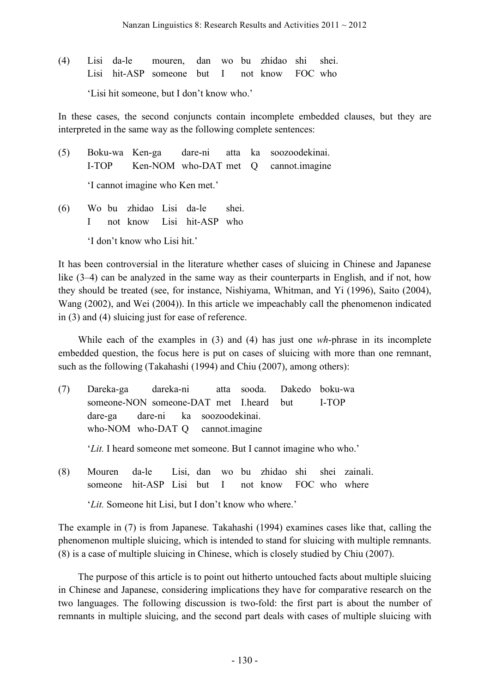(4) Lisi da-le mouren, dan wo bu zhidao shi shei. Lisi hit-ASP someone but I not know FOC who 'Lisi hit someone, but I don't know who.'

In these cases, the second conjuncts contain incomplete embedded clauses, but they are interpreted in the same way as the following complete sentences:

- (5) Boku-wa Ken-ga dare-ni atta ka soozoodekinai. I-TOP Ken-NOM who-DAT met Q cannot.imagine 'I cannot imagine who Ken met.'
- (6) Wo bu zhidao Lisi da-le shei. I not know Lisi hit-ASP who 'I don't know who Lisi hit.'

It has been controversial in the literature whether cases of sluicing in Chinese and Japanese like (3–4) can be analyzed in the same way as their counterparts in English, and if not, how they should be treated (see, for instance, Nishiyama, Whitman, and Yi (1996), Saito (2004), Wang (2002), and Wei (2004)). In this article we impeachably call the phenomenon indicated in (3) and (4) sluicing just for ease of reference.

While each of the examples in (3) and (4) has just one *wh*-phrase in its incomplete embedded question, the focus here is put on cases of sluicing with more than one remnant, such as the following (Takahashi (1994) and Chiu (2007), among others):

(7) Dareka-ga dareka-ni atta sooda. Dakedo boku-wa someone-NON someone-DAT met I.heard but I-TOP dare-ga dare-ni ka soozoodekinai. who-NOM who-DAT Q cannot.imagine '*Lit.* I heard someone met someone. But I cannot imagine who who.' (8) Mouren da-le Lisi, dan wo bu zhidao shi shei zainali. someone hit-ASP Lisi but I not know FOC who where

'*Lit.* Someone hit Lisi, but I don't know who where.'

The example in (7) is from Japanese. Takahashi (1994) examines cases like that, calling the phenomenon multiple sluicing, which is intended to stand for sluicing with multiple remnants. (8) is a case of multiple sluicing in Chinese, which is closely studied by Chiu (2007).

The purpose of this article is to point out hitherto untouched facts about multiple sluicing in Chinese and Japanese, considering implications they have for comparative research on the two languages. The following discussion is two-fold: the first part is about the number of remnants in multiple sluicing, and the second part deals with cases of multiple sluicing with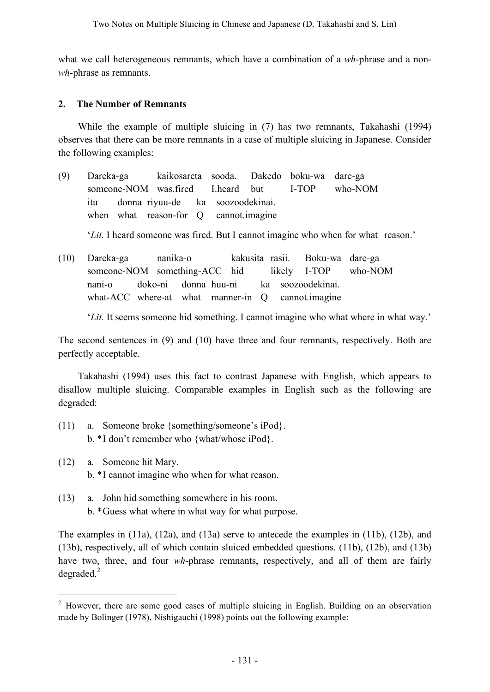what we call heterogeneous remnants, which have a combination of a *wh*-phrase and a non*wh*-phrase as remnants.

## **2. The Number of Remnants**

While the example of multiple sluicing in (7) has two remnants, Takahashi (1994) observes that there can be more remnants in a case of multiple sluicing in Japanese. Consider the following examples:

- (9) Dareka-ga kaikosareta sooda. Dakedo boku-wa dare-ga someone-NOM was.fired I.heard but I-TOP who-NOM itu donna riyuu-de ka soozoodekinai. when what reason-for Q cannot.imagine '*Lit.* I heard someone was fired. But I cannot imagine who when for what reason.'
- (10) Dareka-ga nanika-o kakusita rasii. Boku-wa dare-ga someone-NOM something-ACC hid likely I-TOP who-NOM nani-o doko-ni donna huu-ni ka soozoodekinai. what-ACC where-at what manner-in O cannot.imagine

'*Lit.* It seems someone hid something. I cannot imagine who what where in what way.'

The second sentences in (9) and (10) have three and four remnants, respectively. Both are perfectly acceptable.

Takahashi (1994) uses this fact to contrast Japanese with English, which appears to disallow multiple sluicing. Comparable examples in English such as the following are degraded:

- (11) a. Someone broke {something/someone's iPod}. b. \*I don't remember who {what/whose iPod}.
- (12) a. Someone hit Mary. b. \*I cannot imagine who when for what reason.
- (13) a. John hid something somewhere in his room. b. \*Guess what where in what way for what purpose.

The examples in (11a), (12a), and (13a) serve to antecede the examples in (11b), (12b), and (13b), respectively, all of which contain sluiced embedded questions. (11b), (12b), and (13b) have two, three, and four *wh*-phrase remnants, respectively, and all of them are fairly  $degraded.<sup>2</sup>$ 

<sup>&</sup>lt;sup>2</sup> However, there are some good cases of multiple sluicing in English. Building on an observation made by Bolinger (1978), Nishigauchi (1998) points out the following example: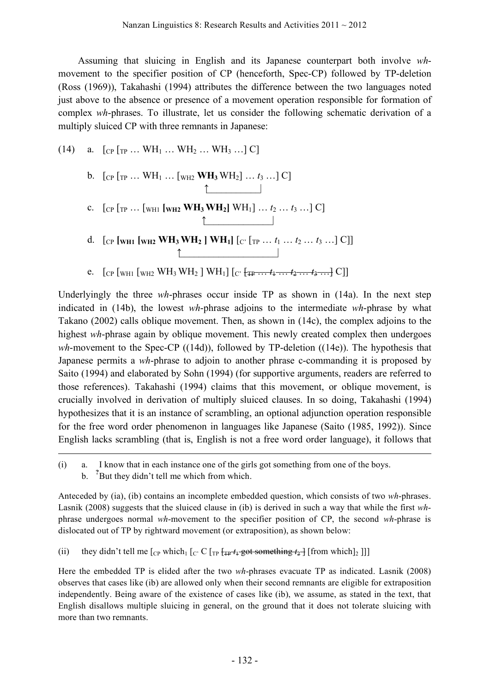Assuming that sluicing in English and its Japanese counterpart both involve *wh*movement to the specifier position of CP (henceforth, Spec-CP) followed by TP-deletion (Ross (1969)), Takahashi (1994) attributes the difference between the two languages noted just above to the absence or presence of a movement operation responsible for formation of complex *wh*-phrases. To illustrate, let us consider the following schematic derivation of a multiply sluiced CP with three remnants in Japanese:

(14) a. 
$$
[_{CP} [_{TP} ... WH_1 ... WH_2 ... WH_3 ... ] C]
$$

1

b. 
$$
\left[ \text{CP} \left[ \text{TP} \dots \text{WH}_1 \dots \left[ \text{WH}_2 \text{WH}_3 \text{WH}_2 \right] \dots t_3 \dots \right] \text{C} \right]
$$

- c.  $[CP [TP ... [WH1 [WH2] WH3 WH2] WH1] ... t_2 ... t_3 ...] C]$  $\uparrow$  |
- d.  $[CP]$   $[\text{WH1}$   $[\text{WH2} \text{ WH3} \text{ WH2}]$   $[\text{WH1}]$   $[C]$   $[\text{TP} \dots t_1 \dots t_2 \dots t_3 \dots]$  C]]  $\uparrow$   $\qquad$  |
- e.  $[CP [WH1 [WH2 WH3 WH2] WH1] [C' \{TP \ldots t_1 \ldots t_2 \ldots t_3 \ldots \} C]]$

Underlyingly the three *wh*-phrases occur inside TP as shown in (14a). In the next step indicated in (14b), the lowest *wh*-phrase adjoins to the intermediate *wh*-phrase by what Takano (2002) calls oblique movement. Then, as shown in (14c), the complex adjoins to the highest *wh*-phrase again by oblique movement. This newly created complex then undergoes *wh*-movement to the Spec-CP ((14d)), followed by TP-deletion ((14e)). The hypothesis that Japanese permits a *wh*-phrase to adjoin to another phrase c-commanding it is proposed by Saito (1994) and elaborated by Sohn (1994) (for supportive arguments, readers are referred to those references). Takahashi (1994) claims that this movement, or oblique movement, is crucially involved in derivation of multiply sluiced clauses. In so doing, Takahashi (1994) hypothesizes that it is an instance of scrambling, an optional adjunction operation responsible for the free word order phenomenon in languages like Japanese (Saito (1985, 1992)). Since English lacks scrambling (that is, English is not a free word order language), it follows that

Anteceded by (ia), (ib) contains an incomplete embedded question, which consists of two *wh*-phrases. Lasnik (2008) suggests that the sluiced clause in (ib) is derived in such a way that while the first *wh*phrase undergoes normal *wh*-movement to the specifier position of CP, the second *wh*-phrase is dislocated out of TP by rightward movement (or extraposition), as shown below:

(ii) they didn't tell me  $\lceil_{\text{CP}}$  which<sub>1</sub>  $\lceil_{\text{C'}} \text{C} \rceil_{\text{TP}}$   $\lceil_{\text{FP}} \rceil_{\text{FP}} + \frac{1}{2}$   $\lceil_{\text{FP}} \rceil_{\text{FP}} + \frac{1}{2}$   $\lceil_{\text{FP}} \rceil_{\text{FP}} + \frac{1}{2}$ 

Here the embedded TP is elided after the two *wh*-phrases evacuate TP as indicated. Lasnik (2008) observes that cases like (ib) are allowed only when their second remnants are eligible for extraposition independently. Being aware of the existence of cases like (ib), we assume, as stated in the text, that English disallows multiple sluicing in general, on the ground that it does not tolerate sluicing with more than two remnants.

<sup>(</sup>i) a. I know that in each instance one of the girls got something from one of the boys. b. **?** But they didn't tell me which from which.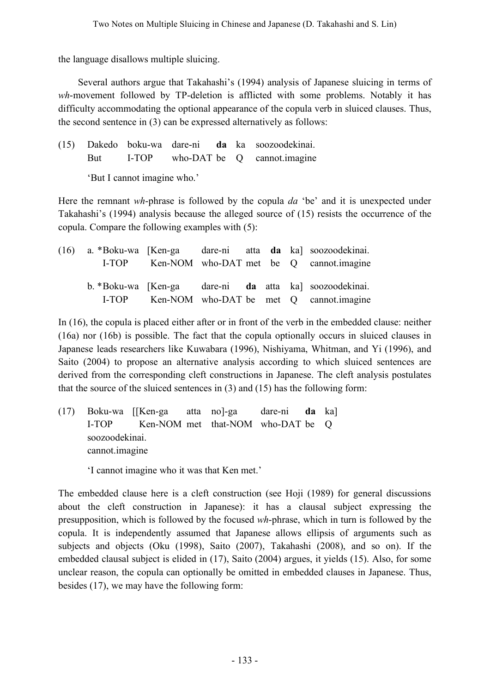the language disallows multiple sluicing.

Several authors argue that Takahashi's (1994) analysis of Japanese sluicing in terms of *wh*-movement followed by TP-deletion is afflicted with some problems. Notably it has difficulty accommodating the optional appearance of the copula verb in sluiced clauses. Thus, the second sentence in (3) can be expressed alternatively as follows:

(15) Dakedo boku-wa dare-ni **da** ka soozoodekinai. But I-TOP who-DAT be Q cannot.imagine 'But I cannot imagine who.'

Here the remnant *wh*-phrase is followed by the copula *da* 'be' and it is unexpected under Takahashi's (1994) analysis because the alleged source of (15) resists the occurrence of the copula. Compare the following examples with (5):

| (16) |       |  |  | a. *Boku-wa [Ken-ga dare-ni atta da ka] soozoodekinai. |
|------|-------|--|--|--------------------------------------------------------|
|      | L-TOP |  |  | Ken-NOM who-DAT met be Q cannot imagine                |
|      |       |  |  |                                                        |
|      |       |  |  | b. *Boku-wa [Ken-ga dare-ni da atta ka] soozoodekinai. |
|      | L-TOP |  |  | Ken-NOM who-DAT be met Q cannot imagine                |

In (16), the copula is placed either after or in front of the verb in the embedded clause: neither (16a) nor (16b) is possible. The fact that the copula optionally occurs in sluiced clauses in Japanese leads researchers like Kuwabara (1996), Nishiyama, Whitman, and Yi (1996), and Saito (2004) to propose an alternative analysis according to which sluiced sentences are derived from the corresponding cleft constructions in Japanese. The cleft analysis postulates that the source of the sluiced sentences in (3) and (15) has the following form:

(17) Boku-wa [[Ken-ga atta no]-ga dare-ni **da** ka] I-TOP Ken-NOM met that-NOM who-DAT be Q soozoodekinai. cannot.imagine

'I cannot imagine who it was that Ken met.'

The embedded clause here is a cleft construction (see Hoji (1989) for general discussions about the cleft construction in Japanese): it has a clausal subject expressing the presupposition, which is followed by the focused *wh*-phrase, which in turn is followed by the copula. It is independently assumed that Japanese allows ellipsis of arguments such as subjects and objects (Oku (1998), Saito (2007), Takahashi (2008), and so on). If the embedded clausal subject is elided in (17), Saito (2004) argues, it yields (15). Also, for some unclear reason, the copula can optionally be omitted in embedded clauses in Japanese. Thus, besides (17), we may have the following form: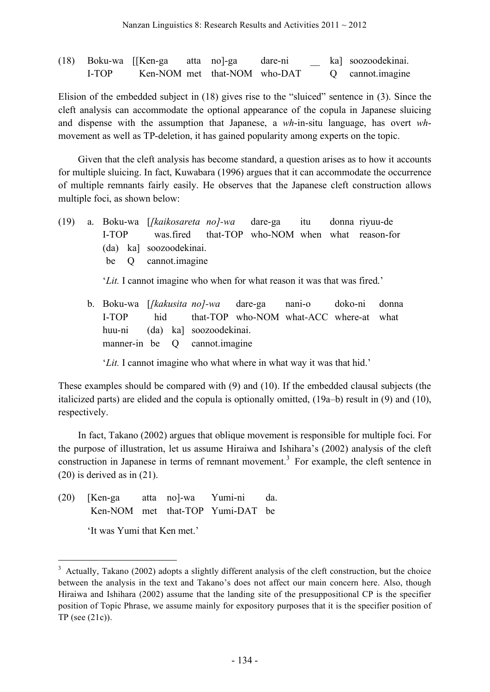|       | (18) Boku-wa [[Ken-ga        | atta no]-ga | dare-ni |  | ka] soozoodekinai. |
|-------|------------------------------|-------------|---------|--|--------------------|
| L-TOP | Ken-NOM met that-NOM who-DAT |             |         |  | Q cannot imagine   |

Elision of the embedded subject in (18) gives rise to the "sluiced" sentence in (3). Since the cleft analysis can accommodate the optional appearance of the copula in Japanese sluicing and dispense with the assumption that Japanese, a *wh*-in-situ language, has overt *wh*movement as well as TP-deletion, it has gained popularity among experts on the topic.

Given that the cleft analysis has become standard, a question arises as to how it accounts for multiple sluicing. In fact, Kuwabara (1996) argues that it can accommodate the occurrence of multiple remnants fairly easily. He observes that the Japanese cleft construction allows multiple foci, as shown below:

(19) a. Boku-wa [*[kaikosareta no]-wa* dare-ga itu donna riyuu-de I-TOP was.fired that-TOP who-NOM when what reason-for (da) ka] soozoodekinai. be Q cannot.imagine

'*Lit.* I cannot imagine who when for what reason it was that was fired.'

b. Boku-wa [*[kakusita no]-wa* dare-ga nani-o doko-ni donna I-TOP **hid** that-TOP who-NOM what-ACC where-at what huu-ni (da) ka] soozoodekinai. manner-in be Q cannot.imagine

'*Lit.* I cannot imagine who what where in what way it was that hid.'

These examples should be compared with (9) and (10). If the embedded clausal subjects (the italicized parts) are elided and the copula is optionally omitted, (19a–b) result in (9) and (10), respectively.

In fact, Takano (2002) argues that oblique movement is responsible for multiple foci. For the purpose of illustration, let us assume Hiraiwa and Ishihara's (2002) analysis of the cleft construction in Japanese in terms of remnant movement. <sup>3</sup> For example, the cleft sentence in (20) is derived as in (21).

(20) [Ken-ga atta no]-wa Yumi-ni da. Ken-NOM met that-TOP Yumi-DAT be

'It was Yumi that Ken met.'

 $3$  Actually, Takano (2002) adopts a slightly different analysis of the cleft construction, but the choice between the analysis in the text and Takano's does not affect our main concern here. Also, though Hiraiwa and Ishihara (2002) assume that the landing site of the presuppositional CP is the specifier position of Topic Phrase, we assume mainly for expository purposes that it is the specifier position of TP (see (21c)).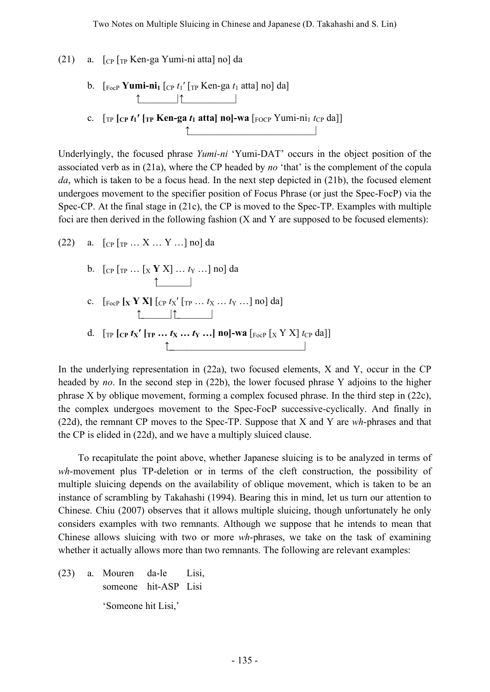(21) a.  $\lceil$  [CP  $\lceil$  [TP Ken-ga Yumi-ni atta] no] da

- b.  $\left[\begin{array}{cc} F_{\text{ocP}} \ \mathbf{Y} \end{array}\right]$  **T**<sub>1</sub> $\left[\begin{array}{cc} C_{\text{P}} \ t_1 \end{array}\right]$   $\left[\begin{array}{cc} T_{\text{P}} \ \mathbf{K} \end{array}\right]$  **E**<sub>1</sub> $\alpha$  atta] no] da] ↑\_\_\_\_\_\_\_\_|↑\_\_\_\_\_\_\_\_\_\_\_|
- c.  $[\text{TP} [\text{CP} t_1'] \text{TP} \text{Ken-ga } t_1 \text{ atta}] \text{ no}]\text{-wa } [\text{FOCP} \text{Yumi-ni} \text{1 } t_{\text{CP}} \text{ da}]]$ ↑\_\_\_\_\_\_\_\_\_\_\_\_\_\_\_\_\_\_\_\_\_\_\_\_\_\_|

Underlyingly, the focused phrase *Yumi-ni* 'Yumi-DAT' occurs in the object position of the associated verb as in (21a), where the CP headed by *no* 'that' is the complement of the copula *da*, which is taken to be a focus head. In the next step depicted in (21b), the focused element undergoes movement to the specifier position of Focus Phrase (or just the Spec-FocP) via the Spec-CP. At the final stage in (21c), the CP is moved to the Spec-TP. Examples with multiple foci are then derived in the following fashion (X and Y are supposed to be focused elements):

(22) a.  $[CP [TP ... X ... Y ...]$  no da

- b. [CP [TP … [X **Y** X] … *t*<sup>Y</sup> …] no] da  $\uparrow$  |
- c. [FocP **[X Y X]** [CP *t*X′ [TP … *t*<sup>X</sup> … *t*<sup>Y</sup> …] no] da] ↑\_\_\_\_\_\_\_|↑\_\_\_\_\_\_\_\_|
- d.  $[\text{TP} [\text{CP} \text{tx}^{\prime} \text{ [TP} \dots \text{tx} \dots \text{tx} \dots] \text{no]}-\text{wa} [\text{FocP} \text{ [X} \text{ Y} \text{ X}] \text{tcP da}]]$  $\uparrow$

In the underlying representation in (22a), two focused elements, X and Y, occur in the CP headed by *no*. In the second step in (22b), the lower focused phrase Y adjoins to the higher phrase X by oblique movement, forming a complex focused phrase. In the third step in (22c), the complex undergoes movement to the Spec-FocP successive-cyclically. And finally in (22d), the remnant CP moves to the Spec-TP. Suppose that X and Y are *wh*-phrases and that the CP is elided in (22d), and we have a multiply sluiced clause.

To recapitulate the point above, whether Japanese sluicing is to be analyzed in terms of *wh*-movement plus TP-deletion or in terms of the cleft construction, the possibility of multiple sluicing depends on the availability of oblique movement, which is taken to be an instance of scrambling by Takahashi (1994). Bearing this in mind, let us turn our attention to Chinese. Chiu (2007) observes that it allows multiple sluicing, though unfortunately he only considers examples with two remnants. Although we suppose that he intends to mean that Chinese allows sluicing with two or more *wh*-phrases, we take on the task of examining whether it actually allows more than two remnants. The following are relevant examples:

(23) a. Mouren da-le Lisi, someone hit-ASP Lisi 'Someone hit Lisi,'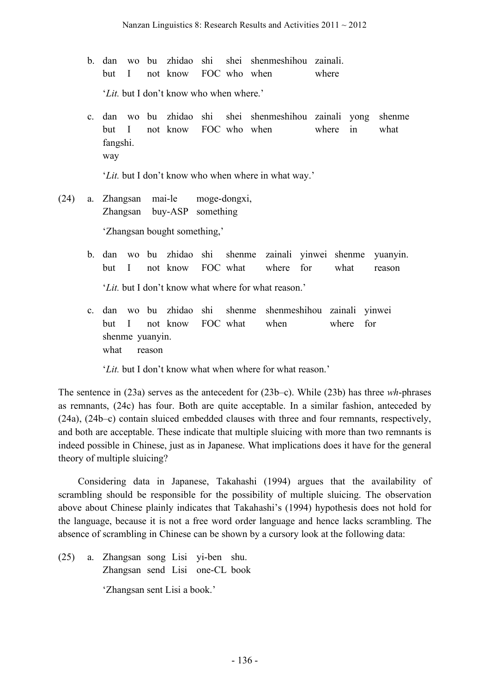- b. dan wo bu zhidao shi shei shenmeshihou zainali. but I not know FOC who when where '*Lit.* but I don't know who when where.'
- c. dan wo bu zhidao shi shei shenmeshihou zainali yong shenme but I not know FOC who when where in what fangshi. way

'*Lit.* but I don't know who when where in what way.'

- (24) a. Zhangsan mai-le moge-dongxi, Zhangsan buy-ASP something 'Zhangsan bought something,'
	- b. dan wo bu zhidao shi shenme zainali yinwei shenme yuanyin. but I not know FOC what where for what reason '*Lit.* but I don't know what where for what reason.'
	- c. dan wo bu zhidao shi shenme shenmeshihou zainali yinwei but I not know FOC what when where for shenme yuanyin. what reason

'*Lit.* but I don't know what when where for what reason.'

The sentence in (23a) serves as the antecedent for (23b–c). While (23b) has three *wh*-phrases as remnants, (24c) has four. Both are quite acceptable. In a similar fashion, anteceded by (24a), (24b–c) contain sluiced embedded clauses with three and four remnants, respectively, and both are acceptable. These indicate that multiple sluicing with more than two remnants is indeed possible in Chinese, just as in Japanese. What implications does it have for the general theory of multiple sluicing?

Considering data in Japanese, Takahashi (1994) argues that the availability of scrambling should be responsible for the possibility of multiple sluicing. The observation above about Chinese plainly indicates that Takahashi's (1994) hypothesis does not hold for the language, because it is not a free word order language and hence lacks scrambling. The absence of scrambling in Chinese can be shown by a cursory look at the following data:

(25) a. Zhangsan song Lisi yi-ben shu. Zhangsan send Lisi one-CL book 'Zhangsan sent Lisi a book.'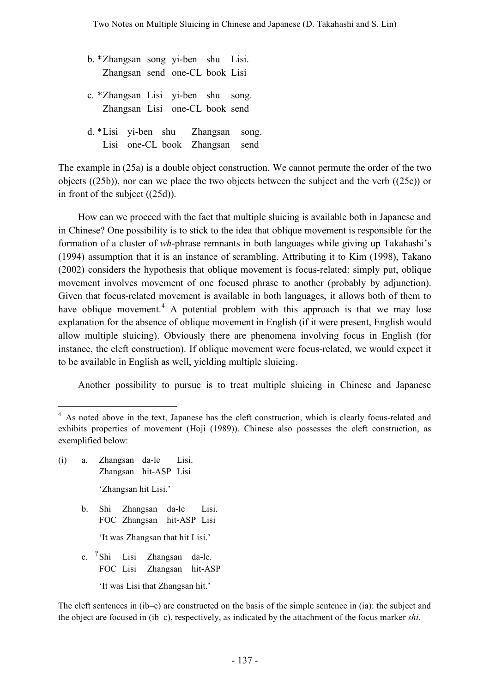b. \*Zhangsan song yi-ben shu Lisi. Zhangsan send one-CL book Lisi c. \*Zhangsan Lisi yi-ben shu song. Zhangsan Lisi one-CL book send d. \*Lisi yi-ben shu Zhangsan song. Lisi one-CL book Zhangsan send

The example in (25a) is a double object construction. We cannot permute the order of the two objects ((25b)), nor can we place the two objects between the subject and the verb ((25c)) or in front of the subject ((25d)).

How can we proceed with the fact that multiple sluicing is available both in Japanese and in Chinese? One possibility is to stick to the idea that oblique movement is responsible for the formation of a cluster of *wh*-phrase remnants in both languages while giving up Takahashi's (1994) assumption that it is an instance of scrambling. Attributing it to Kim (1998), Takano (2002) considers the hypothesis that oblique movement is focus-related: simply put, oblique movement involves movement of one focused phrase to another (probably by adjunction). Given that focus-related movement is available in both languages, it allows both of them to have oblique movement.<sup>4</sup> A potential problem with this approach is that we may lose explanation for the absence of oblique movement in English (if it were present, English would allow multiple sluicing). Obviously there are phenomena involving focus in English (for instance, the cleft construction). If oblique movement were focus-related, we would expect it to be available in English as well, yielding multiple sluicing.

Another possibility to pursue is to treat multiple sluicing in Chinese and Japanese

- (i) a. Zhangsan da-le Lisi. Zhangsan hit-ASP Lisi 'Zhangsan hit Lisi.'
	- b. Shi Zhangsan da-le Lisi. FOC Zhangsan hit-ASP Lisi 'It was Zhangsan that hit Lisi.'
	- c. **?** Lisi Zhangsan da-le. FOC Lisi Zhangsan hit-ASP 'It was Lisi that Zhangsan hit.'

The cleft sentences in (ib–c) are constructed on the basis of the simple sentence in (ia): the subject and the object are focused in (ib–c), respectively, as indicated by the attachment of the focus marker *shi*.

<sup>&</sup>lt;sup>4</sup> As noted above in the text, Japanese has the cleft construction, which is clearly focus-related and exhibits properties of movement (Hoji (1989)). Chinese also possesses the cleft construction, as exemplified below: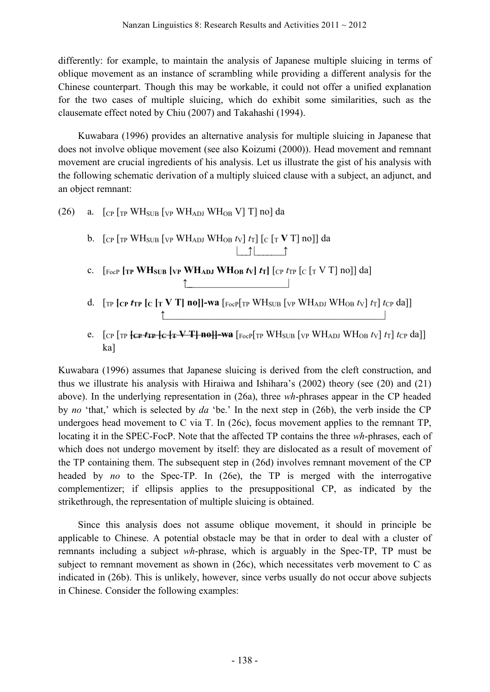differently: for example, to maintain the analysis of Japanese multiple sluicing in terms of oblique movement as an instance of scrambling while providing a different analysis for the Chinese counterpart. Though this may be workable, it could not offer a unified explanation for the two cases of multiple sluicing, which do exhibit some similarities, such as the clausemate effect noted by Chiu (2007) and Takahashi (1994).

Kuwabara (1996) provides an alternative analysis for multiple sluicing in Japanese that does not involve oblique movement (see also Koizumi (2000)). Head movement and remnant movement are crucial ingredients of his analysis. Let us illustrate the gist of his analysis with the following schematic derivation of a multiply sluiced clause with a subject, an adjunct, and an object remnant:

- (26) a.  $\lceil$  CP  $\lceil$  TP WH<sub>SUB</sub>  $\lceil$  VP WH<sub>ADJ</sub> WH<sub>OB</sub> V] T] no] da
	- b.  $\left[\begin{array}{cc} \cosh \sqrt{\frac{1}{T}} & \cosh \sqrt{\frac{1}{T}} & \cosh \sqrt{\frac{1}{T}} \end{array}\right]$   $\left[\begin{array}{cc} \cosh \sqrt{\frac{1}{T}} & \cosh \sqrt{\frac{1}{T}} & \cosh \sqrt{\frac{1}{T}} \end{array}\right]$   $\left[\begin{array}{cc} \cosh \sqrt{\frac{1}{T}} & \cosh \sqrt{\frac{1}{T}} & \cosh \sqrt{\frac{1}{T}} \end{array}\right]$ |\_\_\_↑|\_\_\_\_\_\_\_↑
	- c.  $\left[\frac{\text{FocP}}{\text{FocP}}\right]$   $\left[\frac{\text{VP}}{\text{F}}\right]$   $\left[\frac{\text{VP}}{\text{F}}\right]$   $\left[\frac{\text{VP}}{\text{F}}\right]$   $\left[\frac{\text{FocP}}{\text{F}}\right]$  $\left[\frac{\text{VP}}{\text{F}}\right]$   $\left[\frac{\text{VP}}{\text{F}}\right]$  $\uparrow$
	- d.  $[\text{TP} [\text{CP } t_{\text{TP}} \text{[C} \text{[T} \text{V} \text{T} \text{] } \text{no}]]$ -wa $[\text{FocP} [\text{TP } \text{WH}_{\text{SUB}} \text{[VP } \text{WH}_{\text{ADJ}} \text{WH}_{\text{OB}} \text{[V]} \text{[T} \text{]} \text{[Cp} \text{da}]]$ ↑\_\_\_\_\_\_\_\_\_\_\_\_\_\_\_\_\_\_\_\_\_\_\_\_\_\_\_\_\_\_\_\_\_\_\_\_\_\_\_\_\_\_\_\_\_|
	- e.  $[\text{CP [TP} \text{ [CP} \text{ [TP} \text{ [CP} \text{ [TP} \text{ [CP} \text{ [TP} \text{ [CP} \text{ [CP} \text{ [CP} \text{ [CP} \text{ [CP} \text{ [CP} \text{ [CP} \text{ [CP} \text{ [CP} \text{ [CP} \text{ [CP} \text{ [CP} \text{ [CP} \text{ [CP} \text{ [CP} \text{ [CP} \text{ [CP} \text{ [CP} \text{ [CP} \text{ [CP} \text{ [CP} \text{ [CP} \text{ [CP} \text{ [CP} \text{ [CP} \text{ [CP} \text{ [CP} \text{ [CP} \text{ [CP}$ ka]

Kuwabara (1996) assumes that Japanese sluicing is derived from the cleft construction, and thus we illustrate his analysis with Hiraiwa and Ishihara's (2002) theory (see (20) and (21) above). In the underlying representation in (26a), three *wh*-phrases appear in the CP headed by *no* 'that,' which is selected by *da* 'be.' In the next step in (26b), the verb inside the CP undergoes head movement to C via T. In (26c), focus movement applies to the remnant TP, locating it in the SPEC-FocP. Note that the affected TP contains the three *wh*-phrases, each of which does not undergo movement by itself: they are dislocated as a result of movement of the TP containing them. The subsequent step in (26d) involves remnant movement of the CP headed by *no* to the Spec-TP. In (26e), the TP is merged with the interrogative complementizer; if ellipsis applies to the presuppositional CP, as indicated by the strikethrough, the representation of multiple sluicing is obtained.

Since this analysis does not assume oblique movement, it should in principle be applicable to Chinese. A potential obstacle may be that in order to deal with a cluster of remnants including a subject *wh*-phrase, which is arguably in the Spec-TP, TP must be subject to remnant movement as shown in (26c), which necessitates verb movement to C as indicated in (26b). This is unlikely, however, since verbs usually do not occur above subjects in Chinese. Consider the following examples: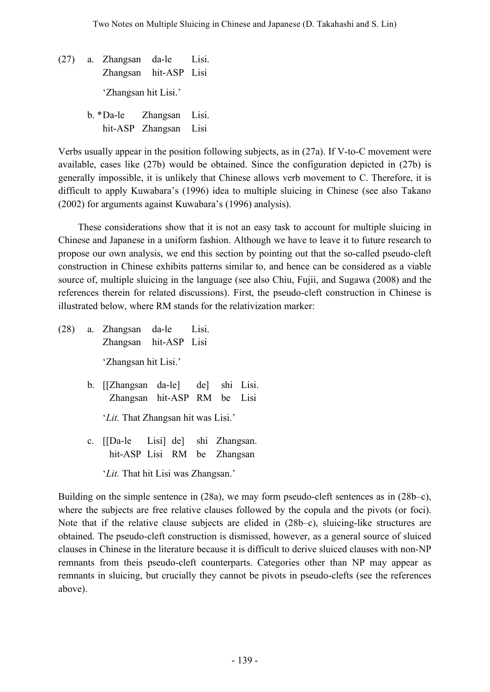- (27) a. Zhangsan da-le Lisi. Zhangsan hit-ASP Lisi 'Zhangsan hit Lisi.' b. \*Da-le Zhangsan Lisi.
	- hit-ASP Zhangsan Lisi

Verbs usually appear in the position following subjects, as in (27a). If V-to-C movement were available, cases like (27b) would be obtained. Since the configuration depicted in (27b) is generally impossible, it is unlikely that Chinese allows verb movement to C. Therefore, it is difficult to apply Kuwabara's (1996) idea to multiple sluicing in Chinese (see also Takano (2002) for arguments against Kuwabara's (1996) analysis).

These considerations show that it is not an easy task to account for multiple sluicing in Chinese and Japanese in a uniform fashion. Although we have to leave it to future research to propose our own analysis, we end this section by pointing out that the so-called pseudo-cleft construction in Chinese exhibits patterns similar to, and hence can be considered as a viable source of, multiple sluicing in the language (see also Chiu, Fujii, and Sugawa (2008) and the references therein for related discussions). First, the pseudo-cleft construction in Chinese is illustrated below, where RM stands for the relativization marker:

- (28) a. Zhangsan da-le Lisi. Zhangsan hit-ASP Lisi 'Zhangsan hit Lisi.'
	- b. [[Zhangsan da-le] de] shi Lisi. Zhangsan hit-ASP RM be Lisi

'*Lit.* That Zhangsan hit was Lisi.'

- c. [[Da-le Lisi] de] shi Zhangsan. hit-ASP Lisi RM be Zhangsan
	- 'Lit. That hit Lisi was Zhangsan.'

Building on the simple sentence in (28a), we may form pseudo-cleft sentences as in (28b–c), where the subjects are free relative clauses followed by the copula and the pivots (or foci). Note that if the relative clause subjects are elided in (28b–c), sluicing-like structures are obtained. The pseudo-cleft construction is dismissed, however, as a general source of sluiced clauses in Chinese in the literature because it is difficult to derive sluiced clauses with non-NP remnants from theis pseudo-cleft counterparts. Categories other than NP may appear as remnants in sluicing, but crucially they cannot be pivots in pseudo-clefts (see the references above).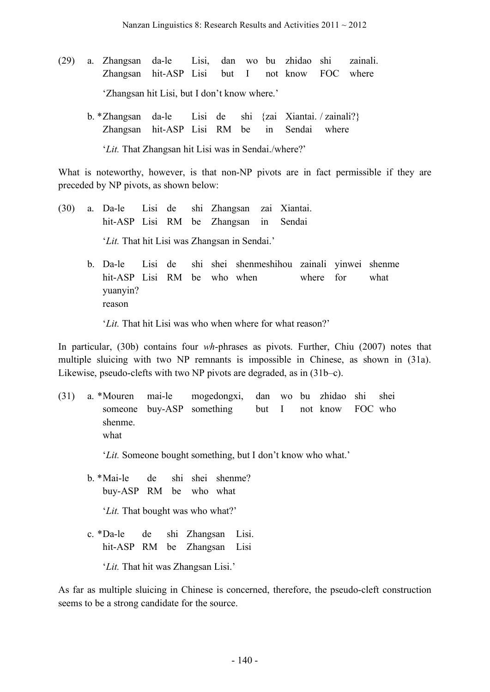- (29) a. Zhangsan da-le Lisi, dan wo bu zhidao shi zainali. Zhangsan hit-ASP Lisi but I not know FOC where 'Zhangsan hit Lisi, but I don't know where.'
	- b. \*Zhangsan da-le Lisi de shi {zai Xiantai. / zainali?} Zhangsan hit-ASP Lisi RM be in Sendai where '*Lit.* That Zhangsan hit Lisi was in Sendai./where?'

What is noteworthy, however, is that non-NP pivots are in fact permissible if they are preceded by NP pivots, as shown below:

- (30) a. Da-le Lisi de shi Zhangsan zai Xiantai. hit-ASP Lisi RM be Zhangsan in Sendai '*Lit.* That hit Lisi was Zhangsan in Sendai.'
	- b. Da-le Lisi de shi shei shenmeshihou zainali yinwei shenme hit-ASP Lisi RM be who when where for what yuanyin? reason

'*Lit.* That hit Lisi was who when where for what reason?'

In particular, (30b) contains four *wh*-phrases as pivots. Further, Chiu (2007) notes that multiple sluicing with two NP remnants is impossible in Chinese, as shown in (31a). Likewise, pseudo-clefts with two NP pivots are degraded, as in (31b–c).

(31) a. \*Mouren mai-le mogedongxi, dan wo bu zhidao shi shei someone buy-ASP something but I not know FOC who shenme. what

'*Lit.* Someone bought something, but I don't know who what.'

- b. \*Mai-le de shi shei shenme? buy-ASP RM be who what '*Lit.* That bought was who what?'
- c. \*Da-le de shi Zhangsan Lisi. hit-ASP RM be Zhangsan Lisi

'*Lit.* That hit was Zhangsan Lisi.'

As far as multiple sluicing in Chinese is concerned, therefore, the pseudo-cleft construction seems to be a strong candidate for the source.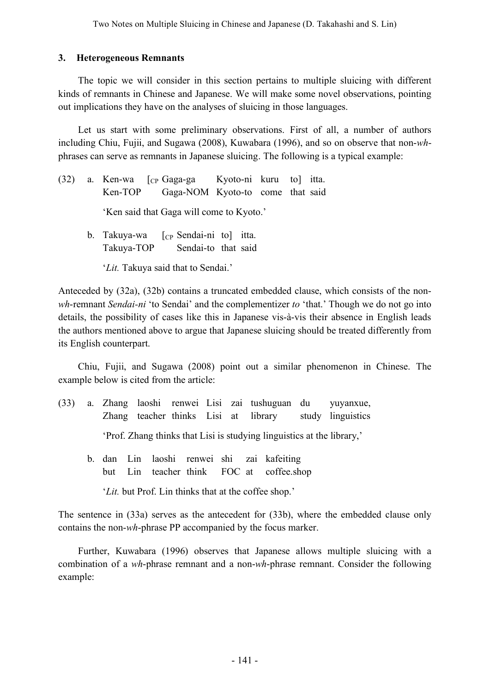### **3. Heterogeneous Remnants**

The topic we will consider in this section pertains to multiple sluicing with different kinds of remnants in Chinese and Japanese. We will make some novel observations, pointing out implications they have on the analyses of sluicing in those languages.

Let us start with some preliminary observations. First of all, a number of authors including Chiu, Fujii, and Sugawa (2008), Kuwabara (1996), and so on observe that non-*wh*phrases can serve as remnants in Japanese sluicing. The following is a typical example:

(32) a. Ken-wa [CP Gaga-ga Kyoto-ni kuru to] itta. Ken-TOP Gaga-NOM Kyoto-to come that said 'Ken said that Gaga will come to Kyoto.' b. Takuya-wa  $\lceil$ <sub>CP</sub> Sendai-ni to itta. Takuya-TOP Sendai-to that said '*Lit.* Takuya said that to Sendai.'

Anteceded by (32a), (32b) contains a truncated embedded clause, which consists of the non*wh*-remnant *Sendai-ni* 'to Sendai' and the complementizer *to* 'that.' Though we do not go into details, the possibility of cases like this in Japanese vis-à-vis their absence in English leads the authors mentioned above to argue that Japanese sluicing should be treated differently from its English counterpart.

Chiu, Fujii, and Sugawa (2008) point out a similar phenomenon in Chinese. The example below is cited from the article:

- (33) a. Zhang laoshi renwei Lisi zai tushuguan du yuyanxue, Zhang teacher thinks Lisi at library study linguistics 'Prof. Zhang thinks that Lisi is studying linguistics at the library,'
	- b. dan Lin laoshi renwei shi zai kafeiting but Lin teacher think FOC at coffee.shop
		- '*Lit.* but Prof. Lin thinks that at the coffee shop.'

The sentence in (33a) serves as the antecedent for (33b), where the embedded clause only contains the non-*wh*-phrase PP accompanied by the focus marker.

Further, Kuwabara (1996) observes that Japanese allows multiple sluicing with a combination of a *wh*-phrase remnant and a non-*wh*-phrase remnant. Consider the following example: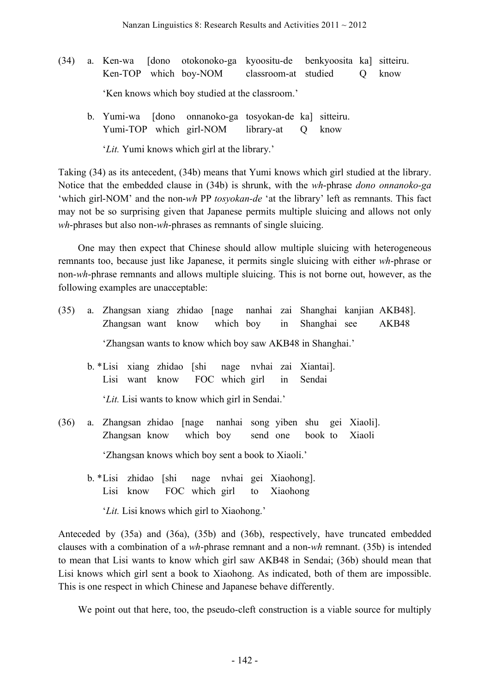- (34) a. Ken-wa [dono otokonoko-ga kyoositu-de benkyoosita ka] sitteiru. Ken-TOP which boy-NOM classroom-at studied Q know 'Ken knows which boy studied at the classroom.'
	- b. Yumi-wa [dono onnanoko-ga tosyokan-de ka] sitteiru. Yumi-TOP which girl-NOM library-at Q know

'*Lit.* Yumi knows which girl at the library.'

Taking (34) as its antecedent, (34b) means that Yumi knows which girl studied at the library. Notice that the embedded clause in (34b) is shrunk, with the *wh*-phrase *dono onnanoko-ga* 'which girl-NOM' and the non-*wh* PP *tosyokan-de* 'at the library' left as remnants. This fact may not be so surprising given that Japanese permits multiple sluicing and allows not only *wh*-phrases but also non-*wh*-phrases as remnants of single sluicing.

One may then expect that Chinese should allow multiple sluicing with heterogeneous remnants too, because just like Japanese, it permits single sluicing with either *wh*-phrase or non-*wh*-phrase remnants and allows multiple sluicing. This is not borne out, however, as the following examples are unacceptable:

- (35) a. Zhangsan xiang zhidao [nage nanhai zai Shanghai kanjian AKB48]. Zhangsan want know which boy in Shanghai see AKB48 'Zhangsan wants to know which boy saw AKB48 in Shanghai.'
	- b. \*Lisi xiang zhidao [shi nage nvhai zai Xiantai]. Lisi want know FOC which girl in Sendai

'*Lit.* Lisi wants to know which girl in Sendai.'

- (36) a. Zhangsan zhidao [nage nanhai song yiben shu gei Xiaoli]. Zhangsan know which boy send one book to Xiaoli 'Zhangsan knows which boy sent a book to Xiaoli.'
	- b. \*Lisi zhidao [shi nage nvhai gei Xiaohong]. Lisi know FOC which girl to Xiaohong
		- '*Lit.* Lisi knows which girl to Xiaohong.'

Anteceded by (35a) and (36a), (35b) and (36b), respectively, have truncated embedded clauses with a combination of a *wh*-phrase remnant and a non-*wh* remnant. (35b) is intended to mean that Lisi wants to know which girl saw AKB48 in Sendai; (36b) should mean that Lisi knows which girl sent a book to Xiaohong. As indicated, both of them are impossible. This is one respect in which Chinese and Japanese behave differently.

We point out that here, too, the pseudo-cleft construction is a viable source for multiply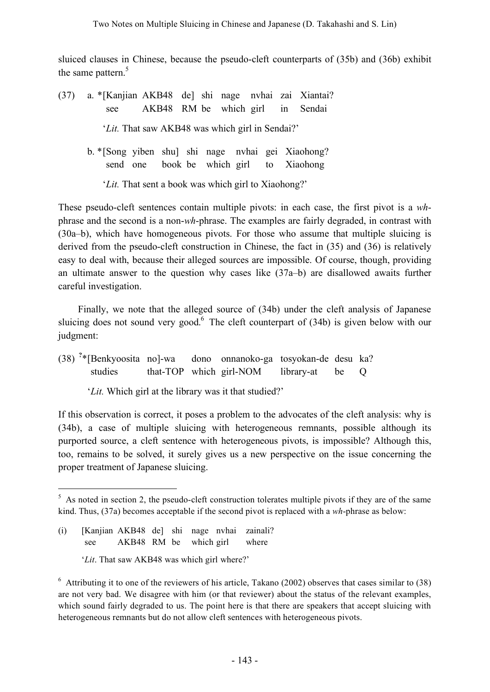sluiced clauses in Chinese, because the pseudo-cleft counterparts of (35b) and (36b) exhibit the same pattern.<sup>5</sup>

- (37) a. \*[Kanjian AKB48 de] shi nage nvhai zai Xiantai? see AKB48 RM be which girl in Sendai '*Lit.* That saw AKB48 was which girl in Sendai?' b. \*[Song yiben shu] shi nage nvhai gei Xiaohong? send one book be which girl to Xiaohong
	- '*Lit.* That sent a book was which girl to Xiaohong?'

These pseudo-cleft sentences contain multiple pivots: in each case, the first pivot is a *wh*phrase and the second is a non-*wh*-phrase. The examples are fairly degraded, in contrast with (30a–b), which have homogeneous pivots. For those who assume that multiple sluicing is derived from the pseudo-cleft construction in Chinese, the fact in (35) and (36) is relatively easy to deal with, because their alleged sources are impossible. Of course, though, providing an ultimate answer to the question why cases like (37a–b) are disallowed awaits further careful investigation.

Finally, we note that the alleged source of (34b) under the cleft analysis of Japanese sluicing does not sound very good.<sup>6</sup> The cleft counterpart of (34b) is given below with our judgment:

(38) **?** dono onnanoko-ga tosyokan-de desu ka? studies that-TOP which girl-NOM library-at be Q

'*Lit.* Which girl at the library was it that studied?'

If this observation is correct, it poses a problem to the advocates of the cleft analysis: why is (34b), a case of multiple sluicing with heterogeneous remnants, possible although its purported source, a cleft sentence with heterogeneous pivots, is impossible? Although this, too, remains to be solved, it surely gives us a new perspective on the issue concerning the proper treatment of Japanese sluicing.

(i) [Kanjian AKB48 de] shi nage nvhai zainali? see AKB48 RM be which girl where

 $5$  As noted in section 2, the pseudo-cleft construction tolerates multiple pivots if they are of the same kind. Thus, (37a) becomes acceptable if the second pivot is replaced with a *wh*-phrase as below:

<sup>&#</sup>x27;*Lit*. That saw AKB48 was which girl where?'

 $6$  Attributing it to one of the reviewers of his article, Takano (2002) observes that cases similar to (38) are not very bad. We disagree with him (or that reviewer) about the status of the relevant examples, which sound fairly degraded to us. The point here is that there are speakers that accept sluicing with heterogeneous remnants but do not allow cleft sentences with heterogeneous pivots.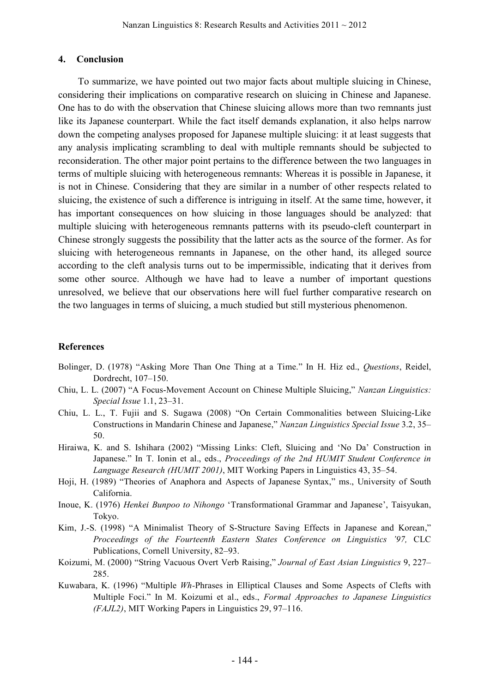#### **4. Conclusion**

To summarize, we have pointed out two major facts about multiple sluicing in Chinese, considering their implications on comparative research on sluicing in Chinese and Japanese. One has to do with the observation that Chinese sluicing allows more than two remnants just like its Japanese counterpart. While the fact itself demands explanation, it also helps narrow down the competing analyses proposed for Japanese multiple sluicing: it at least suggests that any analysis implicating scrambling to deal with multiple remnants should be subjected to reconsideration. The other major point pertains to the difference between the two languages in terms of multiple sluicing with heterogeneous remnants: Whereas it is possible in Japanese, it is not in Chinese. Considering that they are similar in a number of other respects related to sluicing, the existence of such a difference is intriguing in itself. At the same time, however, it has important consequences on how sluicing in those languages should be analyzed: that multiple sluicing with heterogeneous remnants patterns with its pseudo-cleft counterpart in Chinese strongly suggests the possibility that the latter acts as the source of the former. As for sluicing with heterogeneous remnants in Japanese, on the other hand, its alleged source according to the cleft analysis turns out to be impermissible, indicating that it derives from some other source. Although we have had to leave a number of important questions unresolved, we believe that our observations here will fuel further comparative research on the two languages in terms of sluicing, a much studied but still mysterious phenomenon.

#### **References**

- Bolinger, D. (1978) "Asking More Than One Thing at a Time." In H. Hiz ed., *Questions*, Reidel, Dordrecht, 107–150.
- Chiu, L. L. (2007) "A Focus-Movement Account on Chinese Multiple Sluicing," *Nanzan Linguistics: Special Issue* 1.1, 23–31.
- Chiu, L. L., T. Fujii and S. Sugawa (2008) "On Certain Commonalities between Sluicing-Like Constructions in Mandarin Chinese and Japanese," *Nanzan Linguistics Special Issue* 3.2, 35– 50.
- Hiraiwa, K. and S. Ishihara (2002) "Missing Links: Cleft, Sluicing and 'No Da' Construction in Japanese." In T. Ionin et al., eds., *Proceedings of the 2nd HUMIT Student Conference in Language Research (HUMIT 2001)*, MIT Working Papers in Linguistics 43, 35–54.
- Hoji, H. (1989) "Theories of Anaphora and Aspects of Japanese Syntax," ms., University of South California.
- Inoue, K. (1976) *Henkei Bunpoo to Nihongo* 'Transformational Grammar and Japanese', Taisyukan, Tokyo.
- Kim, J.-S. (1998) "A Minimalist Theory of S-Structure Saving Effects in Japanese and Korean," *Proceedings of the Fourteenth Eastern States Conference on Linguistics '97,* CLC Publications, Cornell University, 82–93.
- Koizumi, M. (2000) "String Vacuous Overt Verb Raising," *Journal of East Asian Linguistics* 9, 227– 285.
- Kuwabara, K. (1996) "Multiple *Wh-*Phrases in Elliptical Clauses and Some Aspects of Clefts with Multiple Foci." In M. Koizumi et al., eds., *Formal Approaches to Japanese Linguistics (FAJL2)*, MIT Working Papers in Linguistics 29, 97–116.